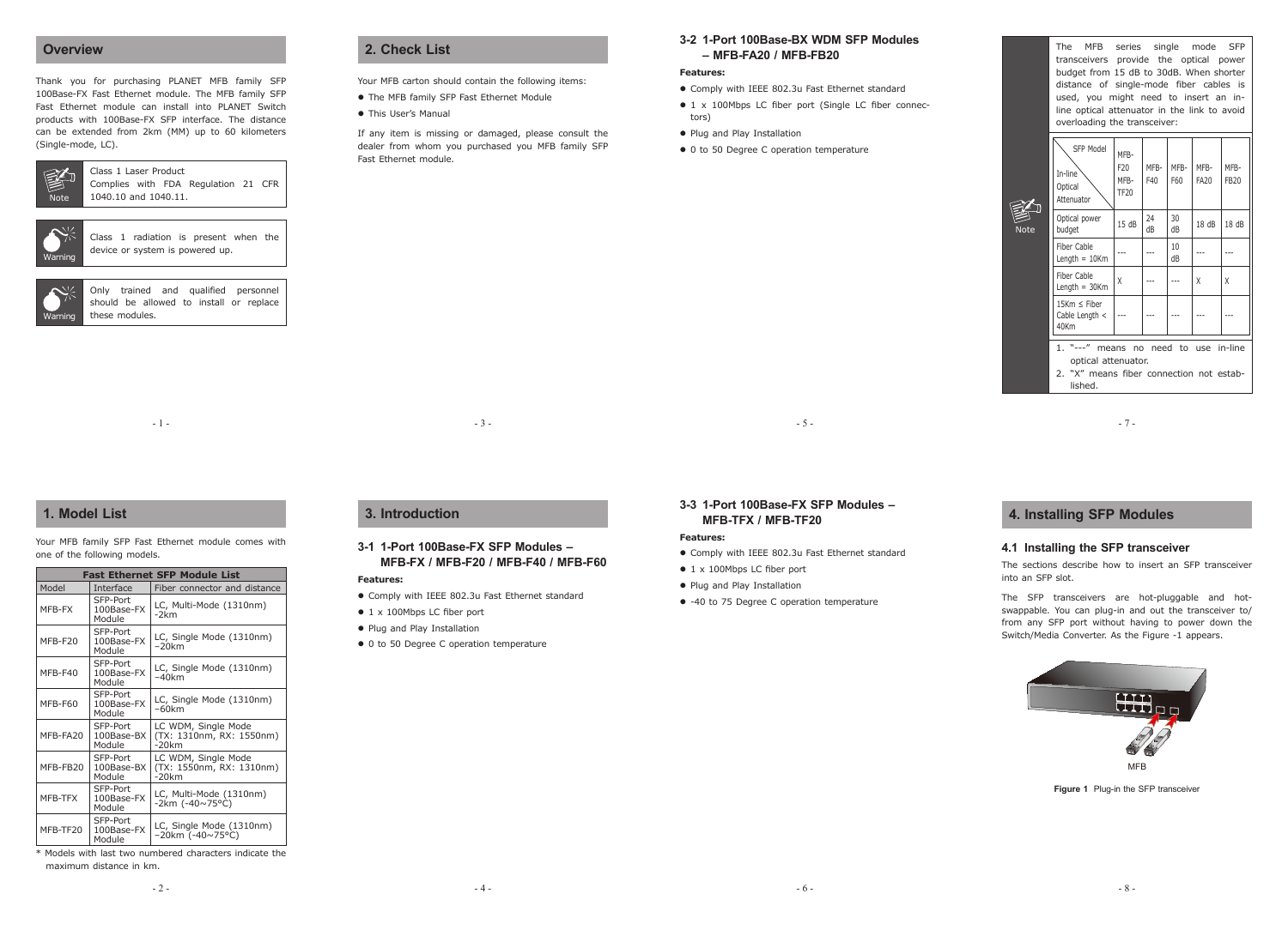## **Overview**

Thank you for purchasing PLANET MFB family SFP 100Base-FX Fast Ethernet module. The MFB family SFP Fast Ethernet module can install into PLANET Switch products with 100Base-FX SFP interface. The distance can be extended from 2km (MM) up to 60 kilometers (Single-mode, LC).



#### Class 1 Laser Product Complies with FDA Regulation 21 CFR 1040.10 and 1040.11.

| <b>Narning</b> |  |
|----------------|--|

Class 1 radiation is present when the device or system is powered up.



 $-1 -$ 

# **1. Model List**

Your MFB family SFP Fast Ethernet module comes with one of the following models.

| Fast Ethernet SFP Module List |                                  |                                                             |  |  |
|-------------------------------|----------------------------------|-------------------------------------------------------------|--|--|
| Model                         | Interface                        | Fiber connector and distance                                |  |  |
| MFR-FX                        | SFP-Port<br>100Base-FX<br>Module | LC, Multi-Mode (1310nm)<br>-2km                             |  |  |
| MFB-F20                       | SFP-Port<br>100Base-FX<br>Module | LC, Single Mode (1310nm)<br>$-20$ km                        |  |  |
| MFR-F40                       | SFP-Port<br>100Base-FX<br>Module | LC, Single Mode (1310nm)<br>–40km                           |  |  |
| MFB-F60                       | SFP-Port<br>100Base-FX<br>Module | LC, Single Mode (1310nm)<br>–60km                           |  |  |
| MFB-FA20                      | SFP-Port<br>100Base-BX<br>Module | LC WDM, Single Mode<br>(TX: 1310nm, RX: 1550nm)<br>$-20$ km |  |  |
| MFB-FB20                      | SFP-Port<br>100Base-BX<br>Module | LC WDM, Single Mode<br>(TX: 1550nm, RX: 1310nm)<br>$-20$ km |  |  |
| MFB-TFX                       | SFP-Port<br>100Base-FX<br>Module | LC, Multi-Mode (1310nm)<br>$-2km (-40 \times 75^{\circ}C)$  |  |  |
| MFB-TF20                      | SFP-Port<br>100Base-FX<br>Module | LC, Single Mode (1310nm)<br>$-20$ km (-40~75°C)             |  |  |

\* Models with last two numbered characters indicate the maximum distance in km.

# **2. Check List**

Your MFB carton should contain the following items:

- The MFB family SFP Fast Ethernet Module l
- This User's Manual

If any item is missing or damaged, please consult the dealer from whom you purchased you MFB family SFP Fast Ethernet module.

# **3-2 1-Port 100Base-BX WDM SFP Modules – MFB-FA20 / MFB-FB20**

#### **Features:**

- Comply with IEEE 802.3u Fast Ethernet standard l
- 1 x 100Mbps LC fiber port (Single LC fiber connectors)

 $-5 -$ 

- Plug and Play Installation
- 0 to 50 Degree C operation temperature

The MFB series single mode SFP transceivers provide the optical power budget from 15 dB to 30dB. When shorter distance of single-mode fiber cables is used, you might need to insert an inline optical attenuator in the link to avoid overloading the transceiver:

| J | SFP Model<br>In-line<br>Optical<br>Attenuator                                 | MFB-<br>F <sub>20</sub><br>MFB-<br><b>TF20</b> | MFB-<br>F40 | MFB-<br>F60 | MFB-<br><b>FA20</b> | MFB-<br><b>FB20</b> |
|---|-------------------------------------------------------------------------------|------------------------------------------------|-------------|-------------|---------------------|---------------------|
| e | Optical power<br>budget                                                       | 15dB                                           | 24<br>dВ    | 30<br>dB    | 18dB                | 18 dB               |
|   | Fiber Cable<br>Length $= 10$ Km                                               |                                                |             | 10<br>dB    |                     |                     |
|   | Fiber Cable<br>Length $=$ 30Km                                                | Χ                                              |             |             | χ                   | Χ                   |
|   | 15Km $\leq$ Fiber<br>Cable Length $\lt$<br>40Km                               |                                                |             |             |                     |                     |
|   | "---" means no need to use in-line<br>1.                                      |                                                |             |             |                     |                     |
|   | optical attenuator.<br>"X" means fiber connection not estab-<br>2.<br>lished. |                                                |             |             |                     |                     |

- 7 -

# **4. Installing SFP Modules**

 $\overline{\overline{N}}$ 

E

### **4.1 Installing the SFP transceiver**

The sections describe how to insert an SFP transceiver into an SFP slot.

The SFP transceivers are hot-pluggable and hotswappable. You can plug-in and out the transceiver to/ from any SFP port without having to power down the Switch/Media Converter. As the Figure -1 appears.



**Figure 1** Plug-in the SFP transceiver

**3-1 1-Port 100Base-FX SFP Modules – MFB-FX / MFB-F20 / MFB-F40 / MFB-F60**

### **Features:**

Comply with IEEE 802.3u Fast Ethernet standard l

 $- 4 -$ 

 $-3 -$ 

#### • 1 x 100Mbps LC fiber port

**3. Introduction**

- Plug and Play Installation
- 0 to 50 Degree C operation temperature

• -40 to 75 Degree C operation temperature

**3-3 1-Port 100Base-FX SFP Modules –** 

Comply with IEEE 802.3u Fast Ethernet standard l

**MFB-TFX / MFB-TF20**

 $\bullet$  1 x 100Mbps LC fiber port • Plug and Play Installation

**Features:**